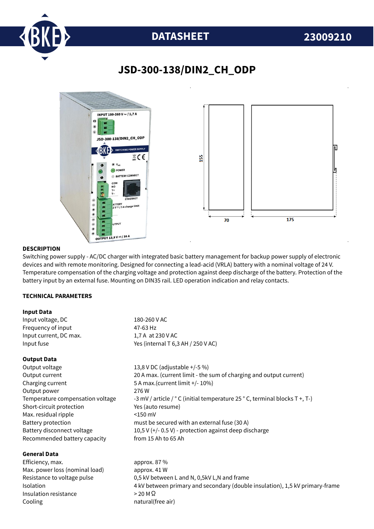

# **DATASHEET 23009210**

## **JSD-300-138/DIN2\_CH\_ODP**



### **DESCRIPTION**

Switching power supply - AC/DC charger with integrated basic battery management for backup power supply of electronic devices and with remote monitoring. Designed for connecting a lead-acid (VRLA) battery with a nominal voltage of 24 V. Temperature compensation of the charging voltage and protection against deep discharge of the battery. Protection of the battery input by an external fuse. Mounting on DIN35 rail. LED operation indication and relay contacts.

#### **TECHNICAL PARAMETERS**

#### **Input Data**

| Input voltage, DC      | 180-260 V AC                       |  |
|------------------------|------------------------------------|--|
| Freguency of input     | 47-63 Hz                           |  |
| Input current, DC max. | 1,7 A at 230 V AC                  |  |
| Input fuse             | Yes (internal T 6,3 AH / 250 V AC) |  |
|                        |                                    |  |

### **Output Data**

Output voltage 13,8 V DC (adjustable +/-5 %) Output current 20 A max. (current limit - the sum of charging and output current) Charging current 5 A max.(current limit +/- 10%) Output power 276 W Temperature compensation voltage  $-3$  mV / article /  $\degree$  C (initial temperature 25  $\degree$  C, terminal blocks T +, T-) Short-circuit protection Yes (auto resume) Max. residual ripple  $\leq 150$  mV Battery protection must be secured with an external fuse (30 A) Battery disconnect voltage 10,5 V (+/- 0.5 V) - protection against deep discharge Recommended battery capacity from 15 Ah to 65 Ah

### **General Data**

Efficiency, max. approx. 87 % Max. power loss (nominal load) approx. 41 W Insulation resistance  $> 20 M\Omega$ Cooling **natural** (free air)

Resistance to voltage pulse 0,5 kV between L and N, 0,5kV L,N and frame Isolation 4 kV between primary and secondary (double insulation), 1,5 kV primary-frame